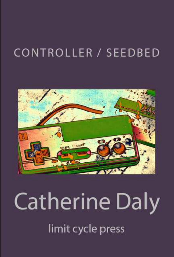# CONTROLLER / SEEDBED



# **Catherine Daly** limit cycle press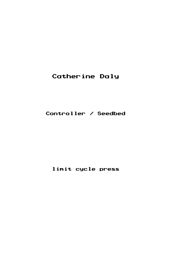### Catherine Daly

#### Controller / Seedbed

#### limit cycle press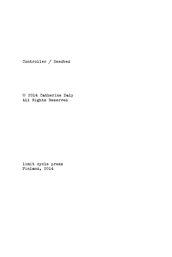Controller / Seedbed

 2014 Catherine Daly All Rights Reserved

limit cycle press Finland, 2014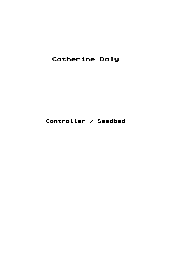## Catherine Daly

Controller / Seedbed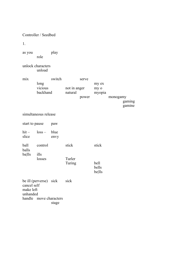|                                      | Controller / Seedbed        |              |                         |                |                         |          |                  |
|--------------------------------------|-----------------------------|--------------|-------------------------|----------------|-------------------------|----------|------------------|
| 1.                                   |                             |              |                         |                |                         |          |                  |
| as you                               | role                        | play         |                         |                |                         |          |                  |
|                                      | unlock characters<br>unload |              |                         |                |                         |          |                  |
| mix                                  | long<br>vicious<br>backhand | switch       | not in anger<br>natural | serve<br>power | my ex<br>my o<br>myopia | monogamy | gaming<br>gamine |
|                                      | simultaneous release        |              |                         |                |                         |          |                  |
| start to pause                       |                             | paw          |                         |                |                         |          |                  |
| $hit -$<br>slice                     | $loss -$                    | blue<br>envy |                         |                |                         |          |                  |
| ball<br>balls                        | control                     |              | stick                   |                | stick                   |          |                  |
| ba lls                               | ills<br>losses              |              | Turler<br>Turing        |                | bell<br>bells<br>bells  |          |                  |
| cancel self<br>make left<br>unhanded | be ill (perverse) sick      |              | sick                    |                |                         |          |                  |
| handle                               | move characters             | stage        |                         |                |                         |          |                  |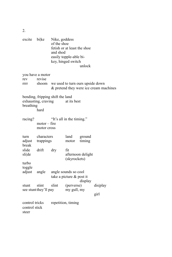| excite                                   | bi ke                               | Nike, goddess<br>of the shoe<br>fetish or at least the shoe<br>and shod<br>easily topple-able bi-<br>key, hinged switch<br>unlock |                                                     |                   |                                        |
|------------------------------------------|-------------------------------------|-----------------------------------------------------------------------------------------------------------------------------------|-----------------------------------------------------|-------------------|----------------------------------------|
| rev<br>rrrr                              | you have a motor<br>revise<br>shoom | we used to turn ours upside down                                                                                                  |                                                     |                   | & pretend they were ice cream machines |
| breathing                                | exhausting, craving<br>hard         | bending, fripping shift the land                                                                                                  | at its best                                         |                   |                                        |
| racing?                                  | $motor - fire$<br>motor cross       | "It's all in the timing."                                                                                                         |                                                     |                   |                                        |
| turn<br>adjust<br>break                  | characters<br>trappings             |                                                                                                                                   | land<br>motor                                       | ground<br>timing  |                                        |
| slide<br>slide                           | drift                               | dry                                                                                                                               | fit<br>(skyrockets)                                 | afternoon delight |                                        |
| turbo<br>toggle<br>adjust                | angle                               |                                                                                                                                   | angle sounds so cool<br>take a picture $\&$ post it | display           |                                        |
| stunt                                    | stint<br>see stunt they'll pay      | slint                                                                                                                             | (perverse)<br>my gull, my                           |                   | display<br>girl                        |
| control tricks<br>control stick<br>steer |                                     | repetition, timing                                                                                                                |                                                     |                   |                                        |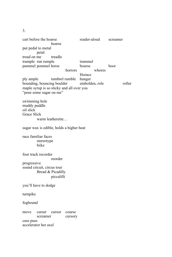cart before the hoarse reader-aloud screamer hearse put pedal to metal petal tread on me treadle trample run rumple trammel pummel pommel horse bourse boor horrors whores Horace ply ample tumbrel rumble hunger bounding, bouncing boulder embolden, role roller maple syrup is so sticky and all over you "pour some sugar on me" swimming hole muddy puddle oil slick Grace Slick warm leatherette… sugar wax is edible, holds a higher heat race familiar faces stereotype bi|ke four track recorder reorder progressive sound circuit, circus tour Bread & Picadilly piccalilli you'll have to dodge turnpike fogbound move curser cursor course screamer cursory cuss puss accelerator her axel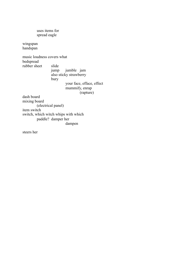uses items for spread eagle

wingspan handspan

music loudness covers what bedspread rubber sheet slide jump jumble jam also sticky strawberry bury your face, efface, effect mummify, enrap (rapture) dash board mixing board

(electrical panel) item switch switch, which witch whips with which paddle? damper her dampen

steers her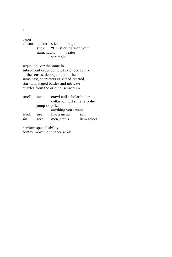paper all star sticker stick image stick "I'm sticking with you"<br>numchucks beater numchucks scramble

sequel deliver the same in subsequent order deliteful extended remix of the senses, derangement of the same cast, characters expected, starred, star turn, staged battles and intricate puzzles from the original sensorium

| scroll | text   | crawl cull scholar holler<br>collar loll lull sully tally-ho |             |
|--------|--------|--------------------------------------------------------------|-------------|
|        |        | jump skip skim                                               |             |
|        |        | anything you / want                                          |             |
| scroll | use    | like a menu                                                  | spin        |
| sin    | scroll | men, status                                                  | item select |

perform special ability control movement paper scroll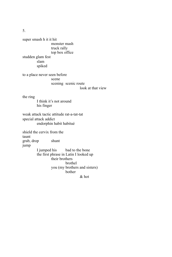super smash h it it hit monster mash truck rally top box office studden glam fest slam spiked

to a place never seen before scene scening scenic route

look at that view

the ring

I think it's not around his finger

weak attack tactic attitude rat-a-tat-tat special attack addict endorphin habit habitué

shield the cervix from the taunt grab, drop shunt jump I jumped his bad to the bone the first phrase in Latin I looked up their brothers brothel you (my brothers and sisters) bother & hot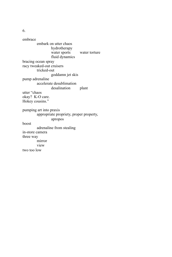embrace embark on utter chaos hydrotherapy water sports water torture fluid dynamics bracing ocean spray racy tweaked-out cruisers tricked-out goddamn jet skis pump adrenaline accelerate desublimation desalination plant utter "chaos okay? K-O care. Hokey cousins." pumping art into praxis appropriate propriety, proper property, apropos boost adrenaline from stealing in-store camera three way mirror view two too low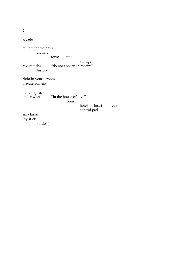arcade remember the days archaic torso attic storage revisit titles "do not appear on receipt" history right in your – room – private content  $hunt = spies$ <br>under what "in the house of love" room hotel heart break control pad six classic joy stick stock(s)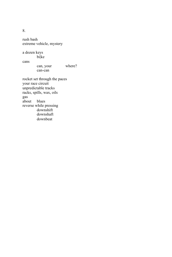rush bash extreme vehicle, mystery

a dozen keys

bi|ke

cans

can, your where?

can-can

rocket set through the paces your race circuit unpredictable tracks racks, spills, wax, oils gas about blues reverse while pressing downshift downshaft downbeat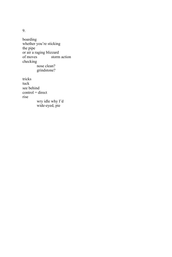boarding whether you're sticking the pipe or air a raging blizzard of moves storm action checking nose clean? grindstone? tricks

tuck see behind  $control = direct$ rise wry idle why I'd wide-eyed, pie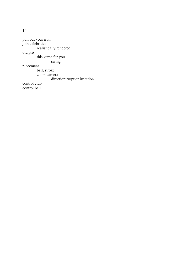pull out your iron join celebrities realistically rendered old pro this game for you swing placement ball, stroke zoom camera directionirruption irritation control club control ball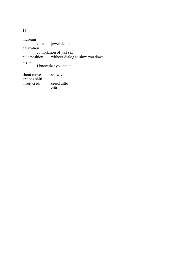museum<br>class jewel denial galaxation compilation of just sex pole position without dialog to slow you down dig it I knew that you could shoot move show you lots options shift

insert credit creed ditto edit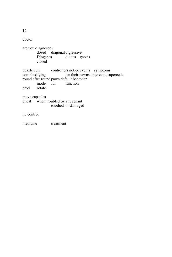doctor are you diagnosed? dosed diagonal digressive Diogenes diodes gnosis closed puzzle cure controllers notice events symptoms<br>complexifying for their pawns, intercept, surface for their pawns, intercept, supercede round after round pawn default behavior<br>mode fun function mode fun prod rotate move capsules ghost when troubled by a revenant touched or damaged no control medicine treatment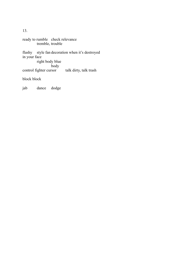ready to rumble check relevance tremble, trouble flashy style fan decoration when it's destroyed in your face right body blue body control fighter cursor talk dirty, talk trash block block

jab dance dodge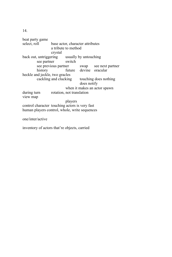beat party game<br>select. roll base actor, character attributes a tribute to method crystal back out, untriggering usually by untouching see partner switch see previous partner swap see next partner history future devine oracular heckle and jeckle, two gracles cackling and clucking touching does nothing does notify when it makes an actor spawn during turn rotation, not translation view map players control character touching actors is very fast human players control, whole, write sequences one/inter/active

inventory of actors that're objects, carried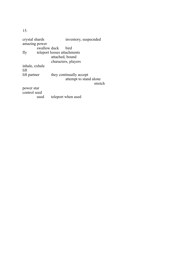| crystal shards |                             | inventory, suspecnded   |         |
|----------------|-----------------------------|-------------------------|---------|
| amazing power  |                             |                         |         |
|                | swallow duck                | <b>bird</b>             |         |
| fly            | teleport looses attachments |                         |         |
|                |                             | attached, bound         |         |
|                |                             | characters, players     |         |
| inhale, exhale |                             |                         |         |
| lift           |                             |                         |         |
| lift partner   |                             | they continually accept |         |
|                |                             | attempt to stand alone  | stretch |
| power star     |                             |                         |         |
| control seed   |                             |                         |         |
|                | used                        | teleport when used      |         |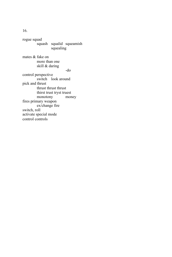rogue squad squash squalid squeamish squealing mates & fake on more than one skill & daring -do control perspective switch look around pick and thrust thrust thrust thrust thirst trust tryst truest<br>monotony money monotony fires primary weapon ex/change fire switch, roll

activate special mode control controls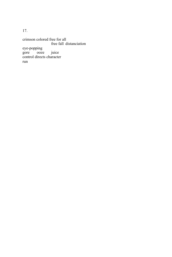crimson colored free for all free fall distanciation eye-popping gore ooze juice control directs character run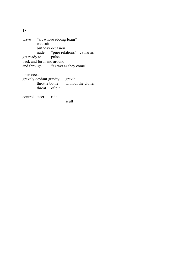| wave       |                           |                                   | "art whose ebbing foam" |                                     |
|------------|---------------------------|-----------------------------------|-------------------------|-------------------------------------|
|            | wet suit                  |                                   |                         |                                     |
|            |                           | birthday occasion                 |                         |                                     |
|            |                           |                                   |                         | nude "pure relations" catharsis     |
|            | get ready to pulse        |                                   |                         |                                     |
|            | back and forth and around |                                   |                         |                                     |
|            |                           | and through "as wet as they come" |                         |                                     |
|            |                           |                                   |                         |                                     |
| open ocean |                           |                                   |                         |                                     |
|            | gravely deviant gravity   |                                   | gravid                  |                                     |
|            |                           |                                   |                         | throttle bottle without the clutter |
|            | throat of plt             |                                   |                         |                                     |
|            | control steer ride        |                                   |                         |                                     |
|            |                           |                                   | scull                   |                                     |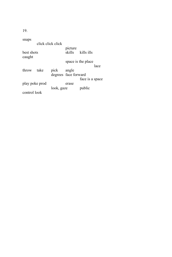| snaps                |                   |            |                      |                    |
|----------------------|-------------------|------------|----------------------|--------------------|
|                      | click click click |            |                      |                    |
| best shots<br>caught |                   |            | picture<br>skills    | kills ills         |
|                      |                   |            |                      | space is the place |
|                      |                   |            |                      | lace               |
| throw                | take              | pick       | angle                |                    |
|                      |                   |            | degrees face forward |                    |
|                      |                   |            |                      | face is a space    |
| play poke prod       |                   |            | erase                |                    |
|                      |                   | look, gaze |                      | public             |
| control look         |                   |            |                      |                    |
|                      |                   |            |                      |                    |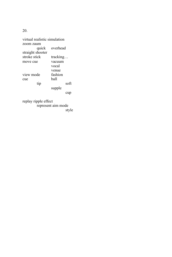virtual realistic simulation zoom zaum overhead straight shooter<br>stroke stick tracking… move cue vacuum vocal venue<br>fashion view mode fash<br>cue ball cue<br>tip soft supple cup replay ripple effect represent aim mode

style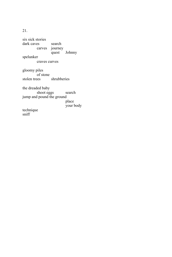six sick stories dark caves search carves journey quest Johnny spelunker craves curves gloomy piles of stone stolen trees shrubberies the dreaded baby shoot eggs search jump and pound the ground place your body technique sniff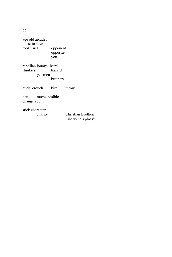age old arcades quest to save<br>fool cruel opponent opposite you reptilian lounge lizard flunkies

yes men brothers

duck, crouch bird throw

pan moves visible change zoom

stick character

Christian Brothers "sherry in a glass"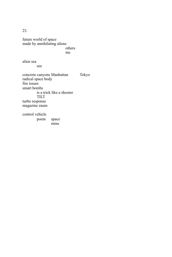future world of space made by annihilating aliens others me

alien sea

see

concrete canyons Manhattan Tokyo radical space body fire issues smart bombs is a trick like a shooter TILT turbo response magazine zaum

mine

control vehicle poem space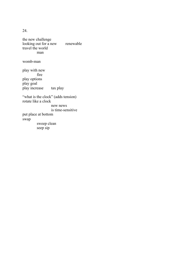the new challenge looking out for a new renewable travel the world man

womb-man

play with new fire play options play goal play increase tax play

"what is the clock" (adds tension) rotate like a clock new news is time-sensitive put place at bottom swap sweep clean seep sip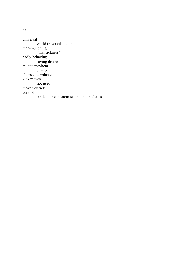universal world traversal tour man-munching "mansickness" badly behaving hiving drones mutate mayhem change aliens exterminate kick moves not used move yourself, control tandem or concatenated, bound in chains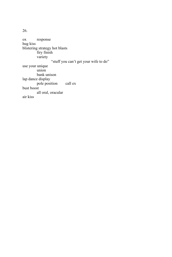ox response hug kiss blistering strategy hot blasts firy finish variety "stuff you can't get your wife to do" use your unique union bank unison lap dance display pole position call ex bust boost all oral, oracular air kiss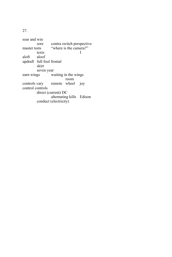soar and win sore contra switch perspective<br>master tests "where is the camera?" "where is the camera?" texts aloft aloof updraft full fool frontal skirt seven year<br>earn wings was waiting in the wings room controls vary remote wheel joy control controls direct (current) DC alternating kills Edison conduct (electricity)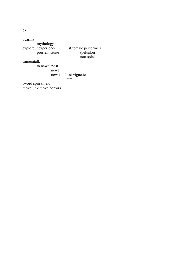| ocarina<br>mythology<br>explore inexperience<br>prurient sense | just female performers<br>spelunker<br>tour spiel |
|----------------------------------------------------------------|---------------------------------------------------|
| cameratalk                                                     |                                                   |
| to newel post<br>newt<br>new t                                 | best vignettes                                    |
|                                                                | item                                              |
| sword spin shield<br>move link move horrors                    |                                                   |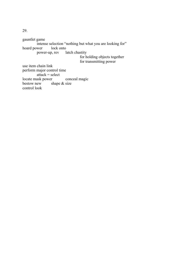gauntlet game intense selection "nothing but what you are looking for" lock onto hoard power power-up, rev latch chastity for holding objects together for transmitting power use item chain link perform major control time  $attack = select$ locate mask power conceal magic<br>bestow new shape & size shape  $&$  size control look